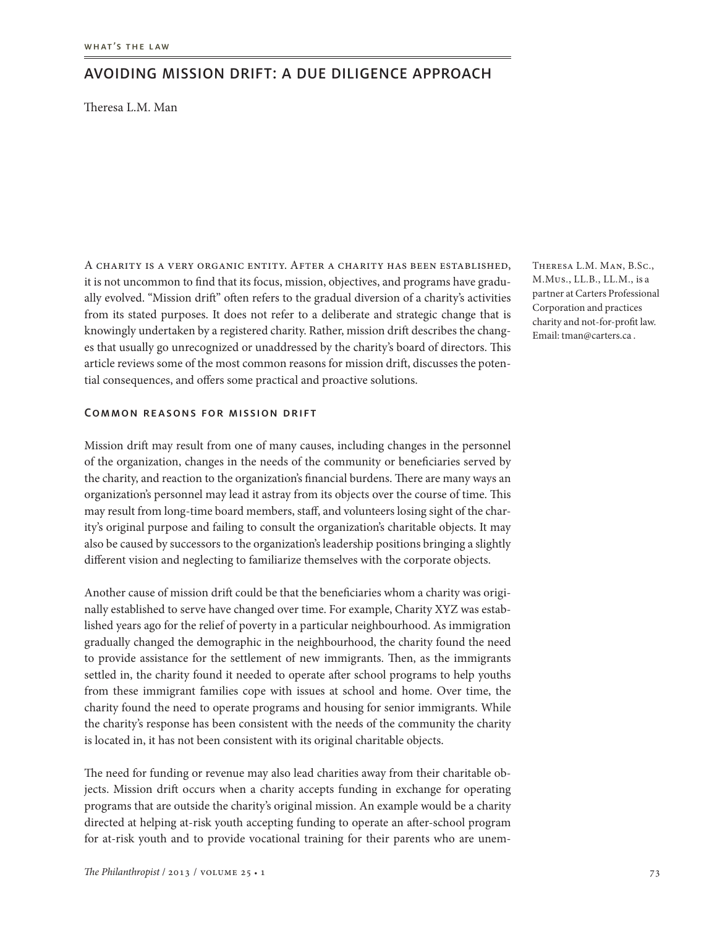# Avoiding mission drift: A due diligence approach

Theresa L.M. Man

A charity is a very organic entity. After a charity has been established, it is not uncommon to find that its focus, mission, objectives, and programs have gradually evolved. "Mission drift" often refers to the gradual diversion of a charity's activities from its stated purposes. It does not refer to a deliberate and strategic change that is knowingly undertaken by a registered charity. Rather, mission drift describes the changes that usually go unrecognized or unaddressed by the charity's board of directors. This article reviews some of the most common reasons for mission drift, discusses the potential consequences, and offers some practical and proactive solutions.

### Common reasons for mission drift

Mission drift may result from one of many causes, including changes in the personnel of the organization, changes in the needs of the community or beneficiaries served by the charity, and reaction to the organization's financial burdens. There are many ways an organization's personnel may lead it astray from its objects over the course of time. This may result from long-time board members, staff, and volunteers losing sight of the charity's original purpose and failing to consult the organization's charitable objects. It may also be caused by successors to the organization's leadership positions bringing a slightly different vision and neglecting to familiarize themselves with the corporate objects.

Another cause of mission drift could be that the beneficiaries whom a charity was originally established to serve have changed over time. For example, Charity XYZ was established years ago for the relief of poverty in a particular neighbourhood. As immigration gradually changed the demographic in the neighbourhood, the charity found the need to provide assistance for the settlement of new immigrants. Then, as the immigrants settled in, the charity found it needed to operate after school programs to help youths from these immigrant families cope with issues at school and home. Over time, the charity found the need to operate programs and housing for senior immigrants. While the charity's response has been consistent with the needs of the community the charity is located in, it has not been consistent with its original charitable objects.

The need for funding or revenue may also lead charities away from their charitable objects. Mission drift occurs when a charity accepts funding in exchange for operating programs that are outside the charity's original mission. An example would be a charity directed at helping at-risk youth accepting funding to operate an after-school program for at-risk youth and to provide vocational training for their parents who are unemTheresa L.M. Man, B.Sc., M.Mus., LL.B., LL.M., is a partner at Carters Professional Corporation and practices charity and not-for-profit law. Email: tman@carters.ca .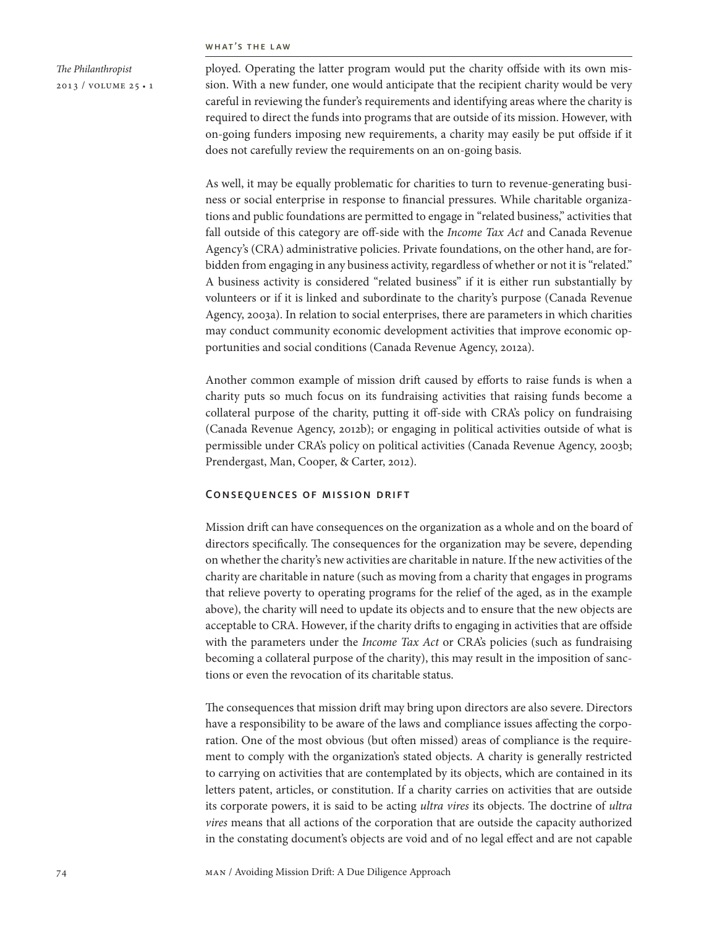#### what's the law

*The Philanthropist* 2013 / volume 25 • 1 ployed. Operating the latter program would put the charity offside with its own mission. With a new funder, one would anticipate that the recipient charity would be very careful in reviewing the funder's requirements and identifying areas where the charity is required to direct the funds into programs that are outside of its mission. However, with on-going funders imposing new requirements, a charity may easily be put offside if it does not carefully review the requirements on an on-going basis.

As well, it may be equally problematic for charities to turn to revenue-generating business or social enterprise in response to financial pressures. While charitable organizations and public foundations are permitted to engage in "related business," activities that fall outside of this category are off-side with the *Income Tax Act* and Canada Revenue Agency's (CRA) administrative policies. Private foundations, on the other hand, are forbidden from engaging in any business activity, regardless of whether or not it is "related." A business activity is considered "related business" if it is either run substantially by volunteers or if it is linked and subordinate to the charity's purpose (Canada Revenue Agency, 2003a). In relation to social enterprises, there are parameters in which charities may conduct community economic development activities that improve economic opportunities and social conditions (Canada Revenue Agency, 2012a).

Another common example of mission drift caused by efforts to raise funds is when a charity puts so much focus on its fundraising activities that raising funds become a collateral purpose of the charity, putting it off-side with CRA's policy on fundraising (Canada Revenue Agency, 2012b); or engaging in political activities outside of what is permissible under CRA's policy on political activities (Canada Revenue Agency, 2003b; Prendergast, Man, Cooper, & Carter, 2012).

# Consequences of mission drift

Mission drift can have consequences on the organization as a whole and on the board of directors specifically. The consequences for the organization may be severe, depending on whether the charity's new activities are charitable in nature. If the new activities of the charity are charitable in nature (such as moving from a charity that engages in programs that relieve poverty to operating programs for the relief of the aged, as in the example above), the charity will need to update its objects and to ensure that the new objects are acceptable to CRA. However, if the charity drifts to engaging in activities that are offside with the parameters under the *Income Tax Act* or CRA's policies (such as fundraising becoming a collateral purpose of the charity), this may result in the imposition of sanctions or even the revocation of its charitable status.

The consequences that mission drift may bring upon directors are also severe. Directors have a responsibility to be aware of the laws and compliance issues affecting the corporation. One of the most obvious (but often missed) areas of compliance is the requirement to comply with the organization's stated objects. A charity is generally restricted to carrying on activities that are contemplated by its objects, which are contained in its letters patent, articles, or constitution. If a charity carries on activities that are outside its corporate powers, it is said to be acting *ultra vires* its objects. The doctrine of *ultra vires* means that all actions of the corporation that are outside the capacity authorized in the constating document's objects are void and of no legal effect and are not capable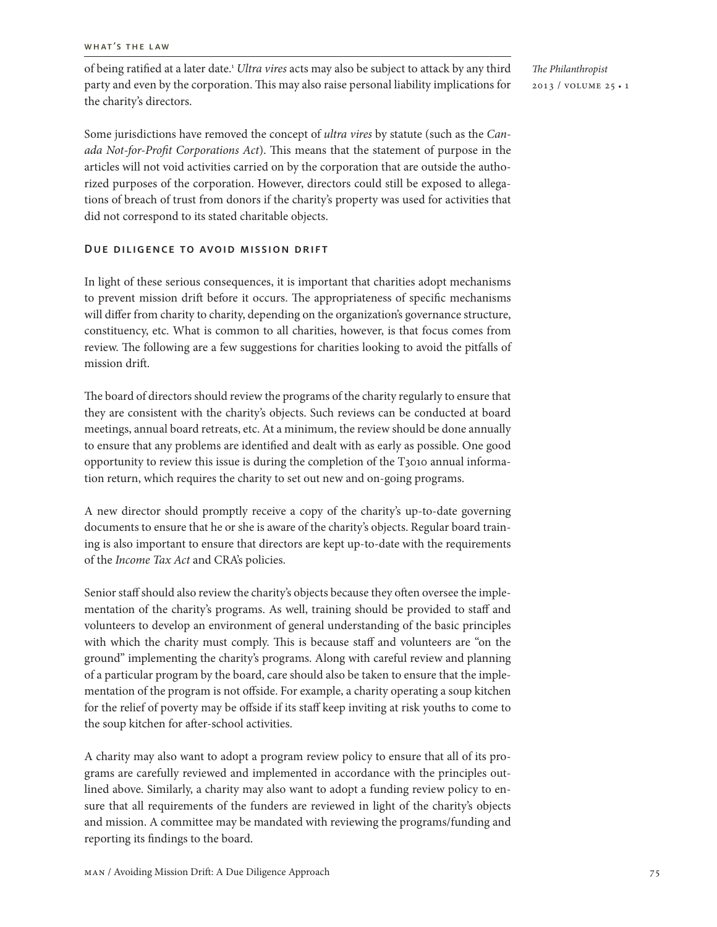of being ratified at a later date.1 *Ultra vires* acts may also be subject to attack by any third party and even by the corporation. This may also raise personal liability implications for the charity's directors.

*The Philanthropist* 2013 / volume 25 • 1

Some jurisdictions have removed the concept of *ultra vires* by statute (such as the *Canada Not-for-Profit Corporations Act*). This means that the statement of purpose in the articles will not void activities carried on by the corporation that are outside the authorized purposes of the corporation. However, directors could still be exposed to allegations of breach of trust from donors if the charity's property was used for activities that did not correspond to its stated charitable objects.

# Due diligence to avoid mission drift

In light of these serious consequences, it is important that charities adopt mechanisms to prevent mission drift before it occurs. The appropriateness of specific mechanisms will differ from charity to charity, depending on the organization's governance structure, constituency, etc. What is common to all charities, however, is that focus comes from review. The following are a few suggestions for charities looking to avoid the pitfalls of mission drift.

The board of directors should review the programs of the charity regularly to ensure that they are consistent with the charity's objects. Such reviews can be conducted at board meetings, annual board retreats, etc. At a minimum, the review should be done annually to ensure that any problems are identified and dealt with as early as possible. One good opportunity to review this issue is during the completion of the T3010 annual information return, which requires the charity to set out new and on-going programs.

A new director should promptly receive a copy of the charity's up-to-date governing documents to ensure that he or she is aware of the charity's objects. Regular board training is also important to ensure that directors are kept up-to-date with the requirements of the *Income Tax Act* and CRA's policies.

Senior staff should also review the charity's objects because they often oversee the implementation of the charity's programs. As well, training should be provided to staff and volunteers to develop an environment of general understanding of the basic principles with which the charity must comply. This is because staff and volunteers are "on the ground" implementing the charity's programs. Along with careful review and planning of a particular program by the board, care should also be taken to ensure that the implementation of the program is not offside. For example, a charity operating a soup kitchen for the relief of poverty may be offside if its staff keep inviting at risk youths to come to the soup kitchen for after-school activities.

A charity may also want to adopt a program review policy to ensure that all of its programs are carefully reviewed and implemented in accordance with the principles outlined above. Similarly, a charity may also want to adopt a funding review policy to ensure that all requirements of the funders are reviewed in light of the charity's objects and mission. A committee may be mandated with reviewing the programs/funding and reporting its findings to the board.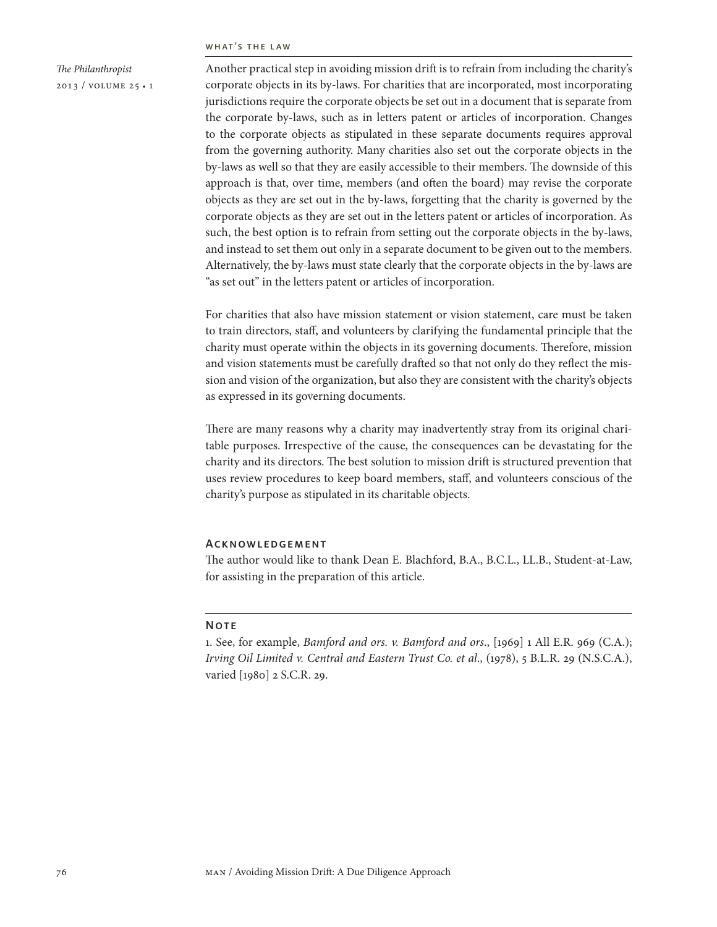#### what's the law

*The Philanthropist* 2013 / volume 25 • 1 Another practical step in avoiding mission drift is to refrain from including the charity's corporate objects in its by-laws. For charities that are incorporated, most incorporating jurisdictions require the corporate objects be set out in a document that is separate from the corporate by-laws, such as in letters patent or articles of incorporation. Changes to the corporate objects as stipulated in these separate documents requires approval from the governing authority. Many charities also set out the corporate objects in the by-laws as well so that they are easily accessible to their members. The downside of this approach is that, over time, members (and often the board) may revise the corporate objects as they are set out in the by-laws, forgetting that the charity is governed by the corporate objects as they are set out in the letters patent or articles of incorporation. As such, the best option is to refrain from setting out the corporate objects in the by-laws, and instead to set them out only in a separate document to be given out to the members. Alternatively, the by-laws must state clearly that the corporate objects in the by-laws are "as set out" in the letters patent or articles of incorporation.

For charities that also have mission statement or vision statement, care must be taken to train directors, staff, and volunteers by clarifying the fundamental principle that the charity must operate within the objects in its governing documents. Therefore, mission and vision statements must be carefully drafted so that not only do they reflect the mission and vision of the organization, but also they are consistent with the charity's objects as expressed in its governing documents.

There are many reasons why a charity may inadvertently stray from its original charitable purposes. Irrespective of the cause, the consequences can be devastating for the charity and its directors. The best solution to mission drift is structured prevention that uses review procedures to keep board members, staff, and volunteers conscious of the charity's purpose as stipulated in its charitable objects.

### Acknowledgement

The author would like to thank Dean E. Blachford, B.A., B.C.L., LL.B., Student-at-Law, for assisting in the preparation of this article.

### **NOTE**

1. See, for example, *Bamford and ors. v. Bamford and ors*., [1969] 1 All E.R. 969 (C.A.); *Irving Oil Limited v. Central and Eastern Trust Co. et al*., (1978), 5 B.L.R. 29 (N.S.C.A.), varied [1980] 2 S.C.R. 29.